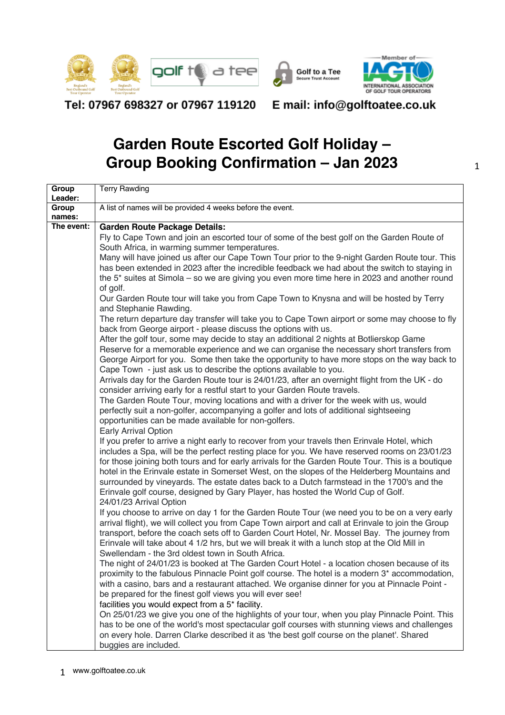





Tel: 07967 698327 or 07967 119120

### E mail: info@golftoatee.co.uk

# **Garden Route Escorted Golf Holiday – Group Booking Confirmation – Jan 2023**

| Group<br>Leader:     | <b>Terry Rawding</b>                                                                                                                                                                           |
|----------------------|------------------------------------------------------------------------------------------------------------------------------------------------------------------------------------------------|
| Group                | A list of names will be provided 4 weeks before the event.                                                                                                                                     |
| names:<br>The event: | <b>Garden Route Package Details:</b>                                                                                                                                                           |
|                      | Fly to Cape Town and join an escorted tour of some of the best golf on the Garden Route of                                                                                                     |
|                      | South Africa, in warming summer temperatures.                                                                                                                                                  |
|                      | Many will have joined us after our Cape Town Tour prior to the 9-night Garden Route tour. This                                                                                                 |
|                      | has been extended in 2023 after the incredible feedback we had about the switch to staying in                                                                                                  |
|                      | the 5 <sup>*</sup> suites at Simola – so we are giving you even more time here in 2023 and another round                                                                                       |
|                      | of golf.<br>Our Garden Route tour will take you from Cape Town to Knysna and will be hosted by Terry                                                                                           |
|                      | and Stephanie Rawding.                                                                                                                                                                         |
|                      | The return departure day transfer will take you to Cape Town airport or some may choose to fly                                                                                                 |
|                      | back from George airport - please discuss the options with us.                                                                                                                                 |
|                      | After the golf tour, some may decide to stay an additional 2 nights at Botlierskop Game                                                                                                        |
|                      | Reserve for a memorable experience and we can organise the necessary short transfers from                                                                                                      |
|                      | George Airport for you. Some then take the opportunity to have more stops on the way back to                                                                                                   |
|                      | Cape Town - just ask us to describe the options available to you.                                                                                                                              |
|                      | Arrivals day for the Garden Route tour is 24/01/23, after an overnight flight from the UK - do<br>consider arriving early for a restful start to your Garden Route travels.                    |
|                      | The Garden Route Tour, moving locations and with a driver for the week with us, would                                                                                                          |
|                      | perfectly suit a non-golfer, accompanying a golfer and lots of additional sightseeing                                                                                                          |
|                      | opportunities can be made available for non-golfers.                                                                                                                                           |
|                      | <b>Early Arrival Option</b>                                                                                                                                                                    |
|                      | If you prefer to arrive a night early to recover from your travels then Erinvale Hotel, which                                                                                                  |
|                      | includes a Spa, will be the perfect resting place for you. We have reserved rooms on 23/01/23                                                                                                  |
|                      | for those joining both tours and for early arrivals for the Garden Route Tour. This is a boutique                                                                                              |
|                      | hotel in the Erinvale estate in Somerset West, on the slopes of the Helderberg Mountains and<br>surrounded by vineyards. The estate dates back to a Dutch farmstead in the 1700's and the      |
|                      | Erinvale golf course, designed by Gary Player, has hosted the World Cup of Golf.                                                                                                               |
|                      | 24/01/23 Arrival Option                                                                                                                                                                        |
|                      | If you choose to arrive on day 1 for the Garden Route Tour (we need you to be on a very early                                                                                                  |
|                      | arrival flight), we will collect you from Cape Town airport and call at Erinvale to join the Group                                                                                             |
|                      | transport, before the coach sets off to Garden Court Hotel, Nr. Mossel Bay. The journey from                                                                                                   |
|                      | Erinvale will take about 4 1/2 hrs, but we will break it with a lunch stop at the Old Mill in                                                                                                  |
|                      | Swellendam - the 3rd oldest town in South Africa.                                                                                                                                              |
|                      | The night of 24/01/23 is booked at The Garden Court Hotel - a location chosen because of its                                                                                                   |
|                      | proximity to the fabulous Pinnacle Point golf course. The hotel is a modern 3* accommodation,<br>with a casino, bars and a restaurant attached. We organise dinner for you at Pinnacle Point - |
|                      | be prepared for the finest golf views you will ever see!                                                                                                                                       |
|                      | facilities you would expect from a 5* facility.                                                                                                                                                |
|                      | On 25/01/23 we give you one of the highlights of your tour, when you play Pinnacle Point. This                                                                                                 |
|                      | has to be one of the world's most spectacular golf courses with stunning views and challenges                                                                                                  |
|                      | on every hole. Darren Clarke described it as 'the best golf course on the planet'. Shared                                                                                                      |
|                      | buggies are included.                                                                                                                                                                          |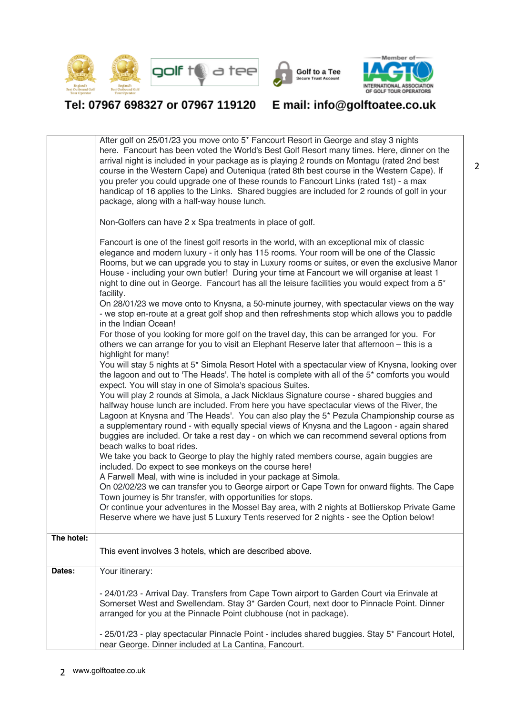





### Tel: 07967 698327 or 07967 119120

## E mail: info@golftoatee.co.uk

|            | After golf on 25/01/23 you move onto 5 <sup>*</sup> Fancourt Resort in George and stay 3 nights<br>here. Fancourt has been voted the World's Best Golf Resort many times. Here, dinner on the<br>arrival night is included in your package as is playing 2 rounds on Montagu (rated 2nd best<br>course in the Western Cape) and Outeniqua (rated 8th best course in the Western Cape). If<br>you prefer you could upgrade one of these rounds to Fancourt Links (rated 1st) - a max<br>handicap of 16 applies to the Links. Shared buggies are included for 2 rounds of golf in your<br>package, along with a half-way house lunch.<br>Non-Golfers can have 2 x Spa treatments in place of golf.<br>Fancourt is one of the finest golf resorts in the world, with an exceptional mix of classic<br>elegance and modern luxury - it only has 115 rooms. Your room will be one of the Classic<br>Rooms, but we can upgrade you to stay in Luxury rooms or suites, or even the exclusive Manor<br>House - including your own butler! During your time at Fancourt we will organise at least 1<br>night to dine out in George. Fancourt has all the leisure facilities you would expect from a 5*<br>facility.<br>On 28/01/23 we move onto to Knysna, a 50-minute journey, with spectacular views on the way<br>- we stop en-route at a great golf shop and then refreshments stop which allows you to paddle<br>in the Indian Ocean!<br>For those of you looking for more golf on the travel day, this can be arranged for you. For<br>others we can arrange for you to visit an Elephant Reserve later that afternoon - this is a<br>highlight for many!<br>You will stay 5 nights at 5* Simola Resort Hotel with a spectacular view of Knysna, looking over<br>the lagoon and out to 'The Heads'. The hotel is complete with all of the 5 <sup>*</sup> comforts you would<br>expect. You will stay in one of Simola's spacious Suites.<br>You will play 2 rounds at Simola, a Jack Nicklaus Signature course - shared buggies and<br>halfway house lunch are included. From here you have spectacular views of the River, the<br>Lagoon at Knysna and 'The Heads'. You can also play the 5* Pezula Championship course as<br>a supplementary round - with equally special views of Knysna and the Lagoon - again shared<br>buggies are included. Or take a rest day - on which we can recommend several options from<br>beach walks to boat rides.<br>We take you back to George to play the highly rated members course, again buggies are<br>included. Do expect to see monkeys on the course here!<br>A Farwell Meal, with wine is included in your package at Simola.<br>On 02/02/23 we can transfer you to George airport or Cape Town for onward flights. The Cape |
|------------|-------------------------------------------------------------------------------------------------------------------------------------------------------------------------------------------------------------------------------------------------------------------------------------------------------------------------------------------------------------------------------------------------------------------------------------------------------------------------------------------------------------------------------------------------------------------------------------------------------------------------------------------------------------------------------------------------------------------------------------------------------------------------------------------------------------------------------------------------------------------------------------------------------------------------------------------------------------------------------------------------------------------------------------------------------------------------------------------------------------------------------------------------------------------------------------------------------------------------------------------------------------------------------------------------------------------------------------------------------------------------------------------------------------------------------------------------------------------------------------------------------------------------------------------------------------------------------------------------------------------------------------------------------------------------------------------------------------------------------------------------------------------------------------------------------------------------------------------------------------------------------------------------------------------------------------------------------------------------------------------------------------------------------------------------------------------------------------------------------------------------------------------------------------------------------------------------------------------------------------------------------------------------------------------------------------------------------------------------------------------------------------------------------------------------------------------------------------------------------------------------------------------------------------------------------------------------------------------------------------------------------------------------------------------------------------------------------------------------------------------------------------------------|
|            | Town journey is 5hr transfer, with opportunities for stops.<br>Or continue your adventures in the Mossel Bay area, with 2 nights at Botlierskop Private Game<br>Reserve where we have just 5 Luxury Tents reserved for 2 nights - see the Option below!                                                                                                                                                                                                                                                                                                                                                                                                                                                                                                                                                                                                                                                                                                                                                                                                                                                                                                                                                                                                                                                                                                                                                                                                                                                                                                                                                                                                                                                                                                                                                                                                                                                                                                                                                                                                                                                                                                                                                                                                                                                                                                                                                                                                                                                                                                                                                                                                                                                                                                                 |
| The hotel: |                                                                                                                                                                                                                                                                                                                                                                                                                                                                                                                                                                                                                                                                                                                                                                                                                                                                                                                                                                                                                                                                                                                                                                                                                                                                                                                                                                                                                                                                                                                                                                                                                                                                                                                                                                                                                                                                                                                                                                                                                                                                                                                                                                                                                                                                                                                                                                                                                                                                                                                                                                                                                                                                                                                                                                         |
|            | This event involves 3 hotels, which are described above.                                                                                                                                                                                                                                                                                                                                                                                                                                                                                                                                                                                                                                                                                                                                                                                                                                                                                                                                                                                                                                                                                                                                                                                                                                                                                                                                                                                                                                                                                                                                                                                                                                                                                                                                                                                                                                                                                                                                                                                                                                                                                                                                                                                                                                                                                                                                                                                                                                                                                                                                                                                                                                                                                                                |
| Dates:     | Your itinerary:                                                                                                                                                                                                                                                                                                                                                                                                                                                                                                                                                                                                                                                                                                                                                                                                                                                                                                                                                                                                                                                                                                                                                                                                                                                                                                                                                                                                                                                                                                                                                                                                                                                                                                                                                                                                                                                                                                                                                                                                                                                                                                                                                                                                                                                                                                                                                                                                                                                                                                                                                                                                                                                                                                                                                         |
|            | - 24/01/23 - Arrival Day. Transfers from Cape Town airport to Garden Court via Erinvale at<br>Somerset West and Swellendam. Stay 3* Garden Court, next door to Pinnacle Point. Dinner<br>arranged for you at the Pinnacle Point clubhouse (not in package).                                                                                                                                                                                                                                                                                                                                                                                                                                                                                                                                                                                                                                                                                                                                                                                                                                                                                                                                                                                                                                                                                                                                                                                                                                                                                                                                                                                                                                                                                                                                                                                                                                                                                                                                                                                                                                                                                                                                                                                                                                                                                                                                                                                                                                                                                                                                                                                                                                                                                                             |
|            | - 25/01/23 - play spectacular Pinnacle Point - includes shared buggies. Stay 5* Fancourt Hotel,<br>near George. Dinner included at La Cantina, Fancourt.                                                                                                                                                                                                                                                                                                                                                                                                                                                                                                                                                                                                                                                                                                                                                                                                                                                                                                                                                                                                                                                                                                                                                                                                                                                                                                                                                                                                                                                                                                                                                                                                                                                                                                                                                                                                                                                                                                                                                                                                                                                                                                                                                                                                                                                                                                                                                                                                                                                                                                                                                                                                                |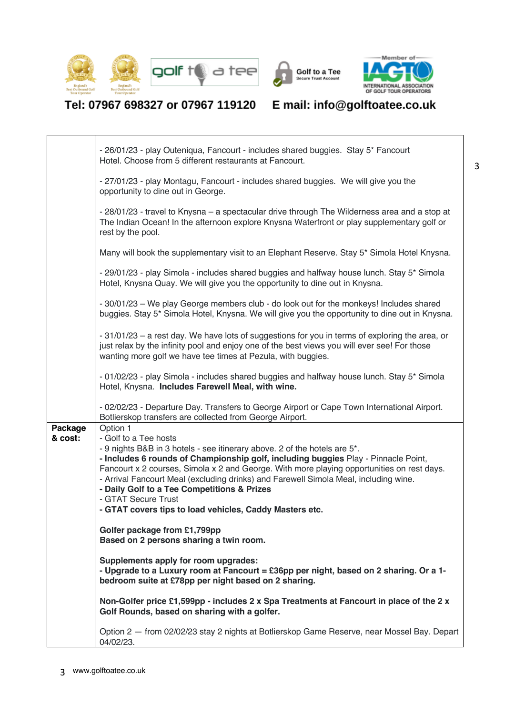





## Tel: 07967 698327 or 07967 119120 E mail: info@golftoatee.co.uk

 $\Gamma$ 

 $\overline{\mathsf{T}}$ 

|                    | - 26/01/23 - play Outeniqua, Fancourt - includes shared buggies. Stay 5* Fancourt<br>Hotel. Choose from 5 different restaurants at Fancourt.                                                                                                                                                                                                                                                                                                                                                                                |
|--------------------|-----------------------------------------------------------------------------------------------------------------------------------------------------------------------------------------------------------------------------------------------------------------------------------------------------------------------------------------------------------------------------------------------------------------------------------------------------------------------------------------------------------------------------|
|                    | - 27/01/23 - play Montagu, Fancourt - includes shared buggies. We will give you the<br>opportunity to dine out in George.                                                                                                                                                                                                                                                                                                                                                                                                   |
|                    | - 28/01/23 - travel to Knysna - a spectacular drive through The Wilderness area and a stop at<br>The Indian Ocean! In the afternoon explore Knysna Waterfront or play supplementary golf or<br>rest by the pool.                                                                                                                                                                                                                                                                                                            |
|                    | Many will book the supplementary visit to an Elephant Reserve. Stay 5* Simola Hotel Knysna.                                                                                                                                                                                                                                                                                                                                                                                                                                 |
|                    | - 29/01/23 - play Simola - includes shared buggies and halfway house lunch. Stay 5* Simola<br>Hotel, Knysna Quay. We will give you the opportunity to dine out in Knysna.                                                                                                                                                                                                                                                                                                                                                   |
|                    | - 30/01/23 - We play George members club - do look out for the monkeys! Includes shared<br>buggies. Stay 5* Simola Hotel, Knysna. We will give you the opportunity to dine out in Knysna.                                                                                                                                                                                                                                                                                                                                   |
|                    | - 31/01/23 - a rest day. We have lots of suggestions for you in terms of exploring the area, or<br>just relax by the infinity pool and enjoy one of the best views you will ever see! For those<br>wanting more golf we have tee times at Pezula, with buggies.                                                                                                                                                                                                                                                             |
|                    | - 01/02/23 - play Simola - includes shared buggies and halfway house lunch. Stay 5* Simola<br>Hotel, Knysna. Includes Farewell Meal, with wine.                                                                                                                                                                                                                                                                                                                                                                             |
|                    | - 02/02/23 - Departure Day. Transfers to George Airport or Cape Town International Airport.<br>Botlierskop transfers are collected from George Airport.                                                                                                                                                                                                                                                                                                                                                                     |
| Package<br>& cost: | Option 1<br>- Golf to a Tee hosts<br>- 9 nights B&B in 3 hotels - see itinerary above. 2 of the hotels are 5*.<br>- Includes 6 rounds of Championship golf, including buggies Play - Pinnacle Point,<br>Fancourt x 2 courses, Simola x 2 and George. With more playing opportunities on rest days.<br>- Arrival Fancourt Meal (excluding drinks) and Farewell Simola Meal, including wine.<br>- Daily Golf to a Tee Competitions & Prizes<br>- GTAT Secure Trust<br>- GTAT covers tips to load vehicles, Caddy Masters etc. |
|                    | Golfer package from £1,799pp<br>Based on 2 persons sharing a twin room.                                                                                                                                                                                                                                                                                                                                                                                                                                                     |
|                    | Supplements apply for room upgrades:<br>- Upgrade to a Luxury room at Fancourt = £36pp per night, based on 2 sharing. Or a 1-<br>bedroom suite at £78pp per night based on 2 sharing.                                                                                                                                                                                                                                                                                                                                       |
|                    | Non-Golfer price £1,599pp - includes 2 x Spa Treatments at Fancourt in place of the 2 x<br>Golf Rounds, based on sharing with a golfer.                                                                                                                                                                                                                                                                                                                                                                                     |
|                    | Option 2 - from 02/02/23 stay 2 nights at Botlierskop Game Reserve, near Mossel Bay. Depart<br>04/02/23.                                                                                                                                                                                                                                                                                                                                                                                                                    |

٦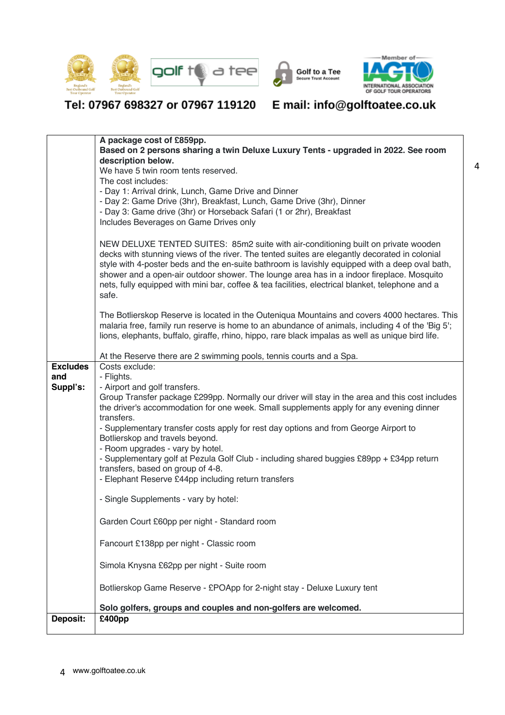





### Tel: 07967 698327 or 07967 119120

## E mail: info@golftoatee.co.uk

|                        | A package cost of £859pp.<br>Based on 2 persons sharing a twin Deluxe Luxury Tents - upgraded in 2022. See room                                                                                                                                                                                                                                                                                                                                                                                 |
|------------------------|-------------------------------------------------------------------------------------------------------------------------------------------------------------------------------------------------------------------------------------------------------------------------------------------------------------------------------------------------------------------------------------------------------------------------------------------------------------------------------------------------|
|                        | description below.<br>We have 5 twin room tents reserved.                                                                                                                                                                                                                                                                                                                                                                                                                                       |
|                        | The cost includes:                                                                                                                                                                                                                                                                                                                                                                                                                                                                              |
|                        | - Day 1: Arrival drink, Lunch, Game Drive and Dinner<br>- Day 2: Game Drive (3hr), Breakfast, Lunch, Game Drive (3hr), Dinner                                                                                                                                                                                                                                                                                                                                                                   |
|                        | - Day 3: Game drive (3hr) or Horseback Safari (1 or 2hr), Breakfast                                                                                                                                                                                                                                                                                                                                                                                                                             |
|                        | Includes Beverages on Game Drives only                                                                                                                                                                                                                                                                                                                                                                                                                                                          |
|                        | NEW DELUXE TENTED SUITES: 85m2 suite with air-conditioning built on private wooden<br>decks with stunning views of the river. The tented suites are elegantly decorated in colonial<br>style with 4-poster beds and the en-suite bathroom is lavishly equipped with a deep oval bath,<br>shower and a open-air outdoor shower. The lounge area has in a indoor fireplace. Mosquito<br>nets, fully equipped with mini bar, coffee & tea facilities, electrical blanket, telephone and a<br>safe. |
|                        | The Botlierskop Reserve is located in the Outeniqua Mountains and covers 4000 hectares. This<br>malaria free, family run reserve is home to an abundance of animals, including 4 of the 'Big 5';<br>lions, elephants, buffalo, giraffe, rhino, hippo, rare black impalas as well as unique bird life.                                                                                                                                                                                           |
|                        | At the Reserve there are 2 swimming pools, tennis courts and a Spa.                                                                                                                                                                                                                                                                                                                                                                                                                             |
| <b>Excludes</b><br>and | Costs exclude:<br>- Flights.                                                                                                                                                                                                                                                                                                                                                                                                                                                                    |
| Suppl's:               | - Airport and golf transfers.                                                                                                                                                                                                                                                                                                                                                                                                                                                                   |
|                        | Group Transfer package £299pp. Normally our driver will stay in the area and this cost includes<br>the driver's accommodation for one week. Small supplements apply for any evening dinner<br>transfers.                                                                                                                                                                                                                                                                                        |
|                        | - Supplementary transfer costs apply for rest day options and from George Airport to<br>Botlierskop and travels beyond.                                                                                                                                                                                                                                                                                                                                                                         |
|                        | - Room upgrades - vary by hotel.<br>- Supplementary golf at Pezula Golf Club - including shared buggies £89pp + £34pp return                                                                                                                                                                                                                                                                                                                                                                    |
|                        | transfers, based on group of 4-8.                                                                                                                                                                                                                                                                                                                                                                                                                                                               |
|                        | - Elephant Reserve £44pp including return transfers                                                                                                                                                                                                                                                                                                                                                                                                                                             |
|                        | - Single Supplements - vary by hotel:                                                                                                                                                                                                                                                                                                                                                                                                                                                           |
|                        | Garden Court £60pp per night - Standard room                                                                                                                                                                                                                                                                                                                                                                                                                                                    |
|                        | Fancourt £138pp per night - Classic room                                                                                                                                                                                                                                                                                                                                                                                                                                                        |
|                        | Simola Knysna £62pp per night - Suite room                                                                                                                                                                                                                                                                                                                                                                                                                                                      |
|                        | Botlierskop Game Reserve - £POApp for 2-night stay - Deluxe Luxury tent                                                                                                                                                                                                                                                                                                                                                                                                                         |
|                        |                                                                                                                                                                                                                                                                                                                                                                                                                                                                                                 |
| Deposit:               | Solo golfers, groups and couples and non-golfers are welcomed.<br>£400pp                                                                                                                                                                                                                                                                                                                                                                                                                        |